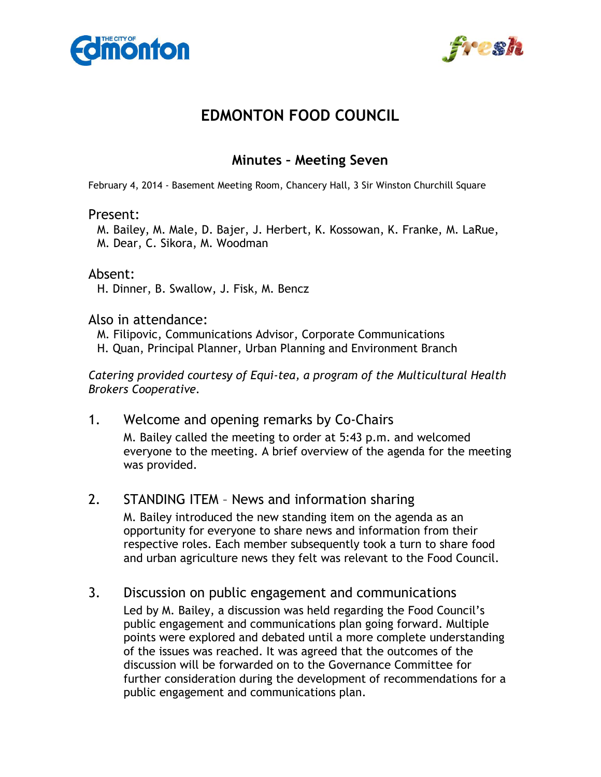



# **EDMONTON FOOD COUNCIL**

# **Minutes – Meeting Seven**

February 4, 2014 - Basement Meeting Room, Chancery Hall, 3 Sir Winston Churchill Square

#### Present:

M. Bailey, M. Male, D. Bajer, J. Herbert, K. Kossowan, K. Franke, M. LaRue, M. Dear, C. Sikora, M. Woodman

#### Absent:

H. Dinner, B. Swallow, J. Fisk, M. Bencz

#### Also in attendance:

- M. Filipovic, Communications Advisor, Corporate Communications
- H. Quan, Principal Planner, Urban Planning and Environment Branch

*Catering provided courtesy of Equi-tea, a program of the Multicultural Health Brokers Cooperative.* 

#### 1. Welcome and opening remarks by Co-Chairs

M. Bailey called the meeting to order at 5:43 p.m. and welcomed everyone to the meeting. A brief overview of the agenda for the meeting was provided.

#### 2. STANDING ITEM – News and information sharing

 M. Bailey introduced the new standing item on the agenda as an opportunity for everyone to share news and information from their respective roles. Each member subsequently took a turn to share food and urban agriculture news they felt was relevant to the Food Council.

## 3. Discussion on public engagement and communications

Led by M. Bailey, a discussion was held regarding the Food Council's public engagement and communications plan going forward. Multiple points were explored and debated until a more complete understanding of the issues was reached. It was agreed that the outcomes of the discussion will be forwarded on to the Governance Committee for further consideration during the development of recommendations for a public engagement and communications plan.